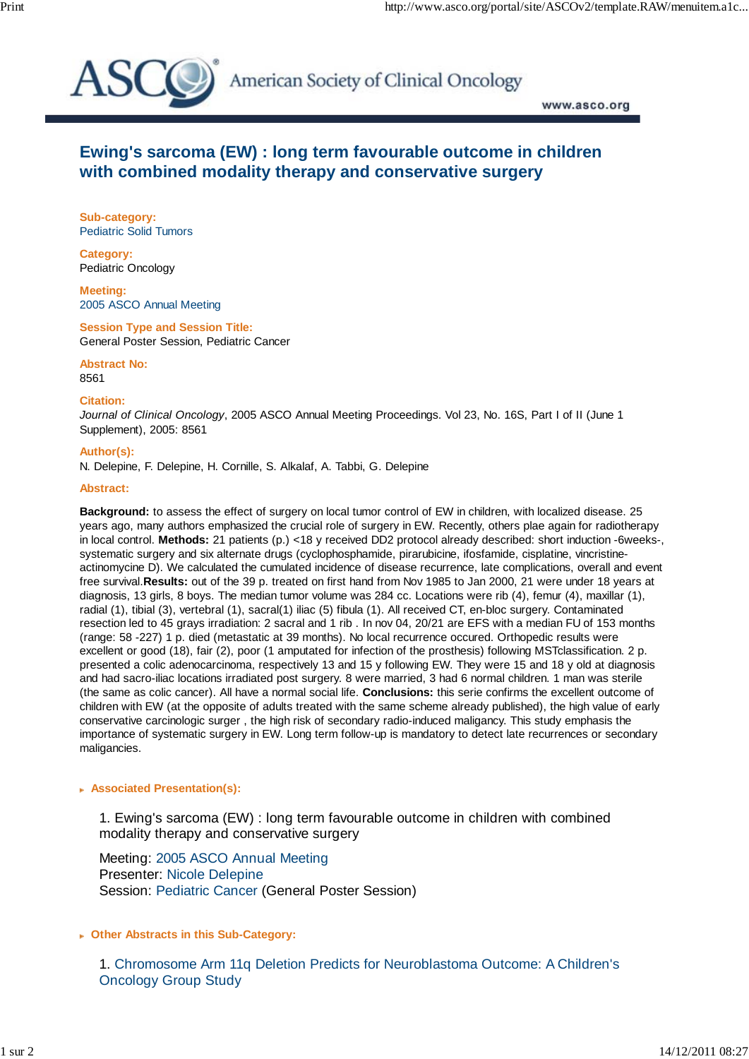

American Society of Clinical Oncology

www.asco.org

# **Ewing's sarcoma (EW) : long term favourable outcome in children with combined modality therapy and conservative surgery**

**Sub-category:** Pediatric Solid Tumors

**Category:** Pediatric Oncology

**Meeting:** 2005 ASCO Annual Meeting

**Session Type and Session Title:** General Poster Session, Pediatric Cancer

**Abstract No:**

8561

**Citation:**

*Journal of Clinical Oncology*, 2005 ASCO Annual Meeting Proceedings. Vol 23, No. 16S, Part I of II (June 1 Supplement), 2005: 8561

### **Author(s):**

N. Delepine, F. Delepine, H. Cornille, S. Alkalaf, A. Tabbi, G. Delepine

#### **Abstract:**

**Background:** to assess the effect of surgery on local tumor control of EW in children, with localized disease. 25 years ago, many authors emphasized the crucial role of surgery in EW. Recently, others plae again for radiotherapy in local control. **Methods:** 21 patients (p.) <18 y received DD2 protocol already described: short induction -6weeks-, systematic surgery and six alternate drugs (cyclophosphamide, pirarubicine, ifosfamide, cisplatine, vincristineactinomycine D). We calculated the cumulated incidence of disease recurrence, late complications, overall and event free survival.**Results:** out of the 39 p. treated on first hand from Nov 1985 to Jan 2000, 21 were under 18 years at diagnosis, 13 girls, 8 boys. The median tumor volume was 284 cc. Locations were rib (4), femur (4), maxillar (1), radial (1), tibial (3), vertebral (1), sacral(1) iliac (5) fibula (1). All received CT, en-bloc surgery. Contaminated resection led to 45 grays irradiation: 2 sacral and 1 rib . In nov 04, 20/21 are EFS with a median FU of 153 months (range: 58 -227) 1 p. died (metastatic at 39 months). No local recurrence occured. Orthopedic results were excellent or good (18), fair (2), poor (1 amputated for infection of the prosthesis) following MSTclassification. 2 p. presented a colic adenocarcinoma, respectively 13 and 15 y following EW. They were 15 and 18 y old at diagnosis and had sacro-iliac locations irradiated post surgery. 8 were married, 3 had 6 normal children. 1 man was sterile (the same as colic cancer). All have a normal social life. **Conclusions:** this serie confirms the excellent outcome of children with EW (at the opposite of adults treated with the same scheme already published), the high value of early conservative carcinologic surger , the high risk of secondary radio-induced maligancy. This study emphasis the importance of systematic surgery in EW. Long term follow-up is mandatory to detect late recurrences or secondary maligancies.

### **Associated Presentation(s):**

 1. Ewing's sarcoma (EW) : long term favourable outcome in children with combined modality therapy and conservative surgery

Meeting: 2005 ASCO Annual Meeting Presenter: Nicole Delepine Session: Pediatric Cancer (General Poster Session)

## **Other Abstracts in this Sub-Category:**

 1. Chromosome Arm 11q Deletion Predicts for Neuroblastoma Outcome: A Children's Oncology Group Study